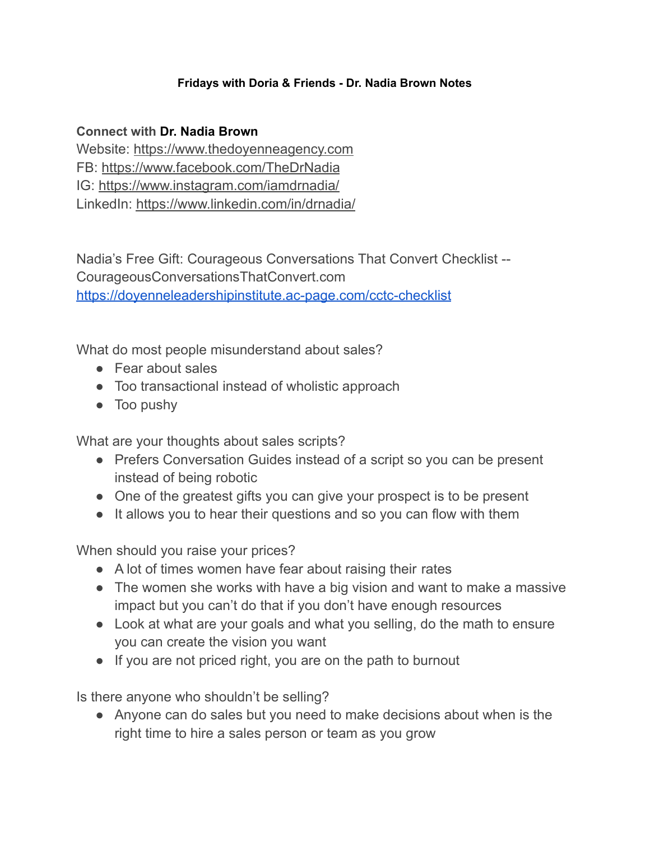## **Fridays with Doria & Friends - Dr. Nadia Brown Notes**

## **Connect with Dr. Nadia Brown**

Website: [https://www.thedoyenneagency.com](https://www.thedoyenneagency.com/) FB: <https://www.facebook.com/TheDrNadia> IG: <https://www.instagram.com/iamdrnadia/> LinkedIn: <https://www.linkedin.com/in/drnadia/>

Nadia's Free Gift: Courageous Conversations That Convert Checklist -- CourageousConversationsThatConvert.com <https://doyenneleadershipinstitute.ac-page.com/cctc-checklist>

What do most people misunderstand about sales?

- Fear about sales
- Too transactional instead of wholistic approach
- Too pushy

What are your thoughts about sales scripts?

- Prefers Conversation Guides instead of a script so you can be present instead of being robotic
- One of the greatest gifts you can give your prospect is to be present
- It allows you to hear their questions and so you can flow with them

When should you raise your prices?

- A lot of times women have fear about raising their rates
- The women she works with have a big vision and want to make a massive impact but you can't do that if you don't have enough resources
- Look at what are your goals and what you selling, do the math to ensure you can create the vision you want
- If you are not priced right, you are on the path to burnout

Is there anyone who shouldn't be selling?

• Anyone can do sales but you need to make decisions about when is the right time to hire a sales person or team as you grow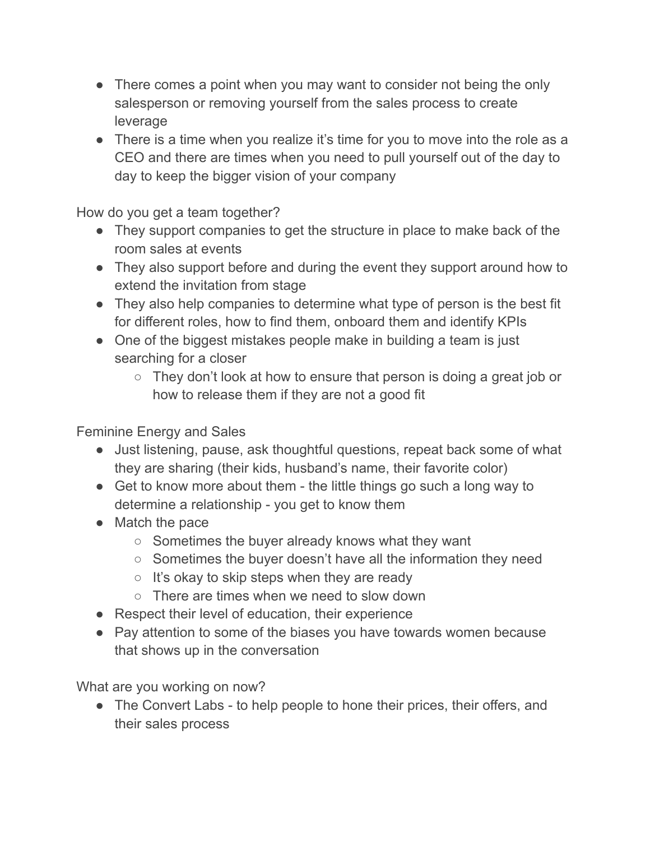- There comes a point when you may want to consider not being the only salesperson or removing yourself from the sales process to create leverage
- There is a time when you realize it's time for you to move into the role as a CEO and there are times when you need to pull yourself out of the day to day to keep the bigger vision of your company

How do you get a team together?

- They support companies to get the structure in place to make back of the room sales at events
- They also support before and during the event they support around how to extend the invitation from stage
- They also help companies to determine what type of person is the best fit for different roles, how to find them, onboard them and identify KPIs
- One of the biggest mistakes people make in building a team is just searching for a closer
	- $\circ$  They don't look at how to ensure that person is doing a great job or how to release them if they are not a good fit

Feminine Energy and Sales

- Just listening, pause, ask thoughtful questions, repeat back some of what they are sharing (their kids, husband's name, their favorite color)
- Get to know more about them the little things go such a long way to determine a relationship - you get to know them
- Match the pace
	- $\circ$  Sometimes the buyer already knows what they want
	- Sometimes the buyer doesn't have all the information they need
	- $\circ$  It's okay to skip steps when they are ready
	- There are times when we need to slow down
- Respect their level of education, their experience
- Pay attention to some of the biases you have towards women because that shows up in the conversation

What are you working on now?

• The Convert Labs - to help people to hone their prices, their offers, and their sales process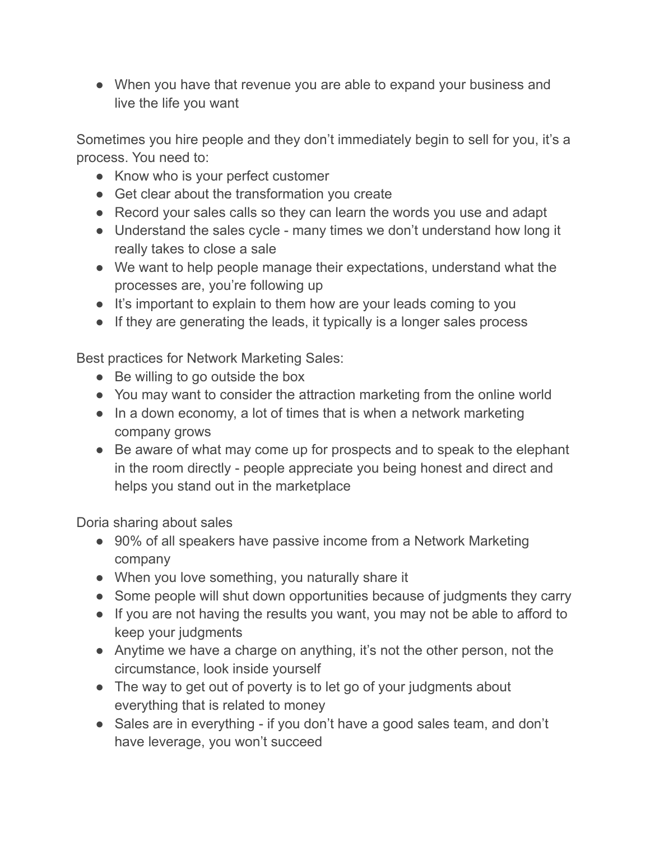• When you have that revenue you are able to expand your business and live the life you want

Sometimes you hire people and they don't immediately begin to sell for you, it's a process. You need to:

- Know who is your perfect customer
- Get clear about the transformation you create
- Record your sales calls so they can learn the words you use and adapt
- Understand the sales cycle many times we don't understand how long it really takes to close a sale
- We want to help people manage their expectations, understand what the processes are, you're following up
- It's important to explain to them how are your leads coming to you
- If they are generating the leads, it typically is a longer sales process

Best practices for Network Marketing Sales:

- Be willing to go outside the box
- You may want to consider the attraction marketing from the online world
- In a down economy, a lot of times that is when a network marketing company grows
- Be aware of what may come up for prospects and to speak to the elephant in the room directly - people appreciate you being honest and direct and helps you stand out in the marketplace

Doria sharing about sales

- 90% of all speakers have passive income from a Network Marketing company
- When you love something, you naturally share it
- Some people will shut down opportunities because of judgments they carry
- If you are not having the results you want, you may not be able to afford to keep your judgments
- Anytime we have a charge on anything, it's not the other person, not the circumstance, look inside yourself
- The way to get out of poverty is to let go of your judgments about everything that is related to money
- Sales are in everything if you don't have a good sales team, and don't have leverage, you won't succeed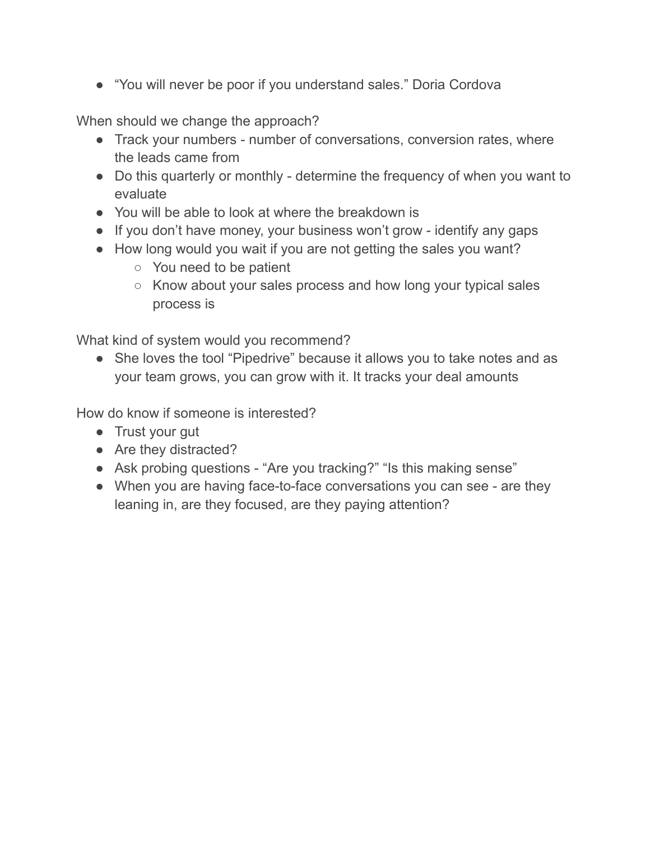● "You will never be poor if you understand sales." Doria Cordova

When should we change the approach?

- Track your numbers number of conversations, conversion rates, where the leads came from
- Do this quarterly or monthly determine the frequency of when you want to evaluate
- You will be able to look at where the breakdown is
- If you don't have money, your business won't grow identify any gaps
- How long would you wait if you are not getting the sales you want?
	- You need to be patient
	- Know about your sales process and how long your typical sales process is

What kind of system would you recommend?

• She loves the tool "Pipedrive" because it allows you to take notes and as your team grows, you can grow with it. It tracks your deal amounts

How do know if someone is interested?

- Trust your gut
- Are they distracted?
- Ask probing questions "Are you tracking?" "Is this making sense"
- When you are having face-to-face conversations you can see are they leaning in, are they focused, are they paying attention?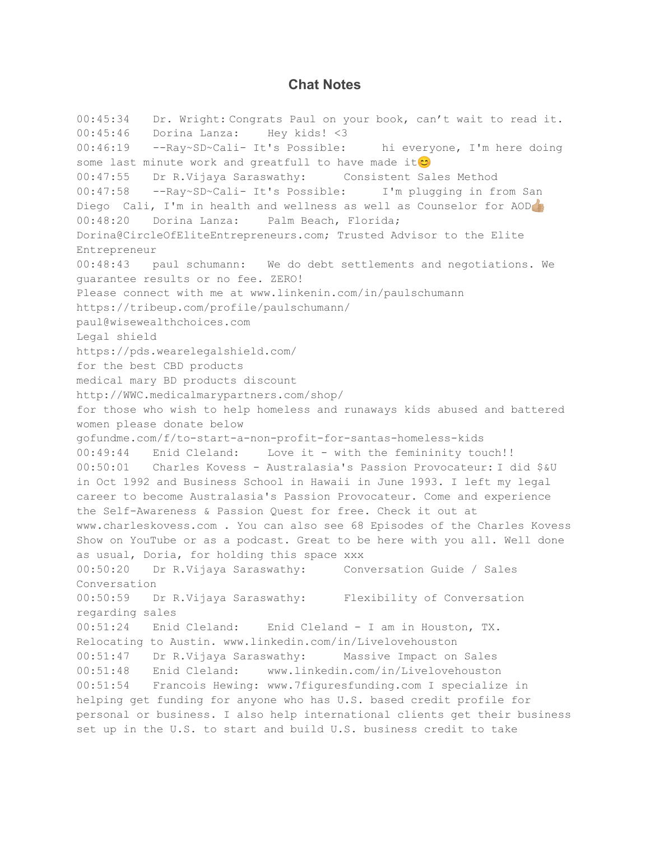## **Chat Notes**

00:45:34 Dr. Wright: Congrats Paul on your book, can't wait to read it. 00:45:46 Dorina Lanza: Hey kids! <3 00:46:19 --Ray~SD~Cali- It's Possible: hi everyone, I'm here doing some last minute work and greatfull to have made it $\circ$ 00:47:55 Dr R.Vijaya Saraswathy: Consistent Sales Method 00:47:58 --Ray~SD~Cali- It's Possible: I'm plugging in from San Diego Cali, I'm in health and wellness as well as Counselor for AOD 00:48:20 Dorina Lanza: Palm Beach, Florida; Dorina@CircleOfEliteEntrepreneurs.com; Trusted Advisor to the Elite Entrepreneur 00:48:43 paul schumann: We do debt settlements and negotiations. We guarantee results or no fee. ZERO! Please connect with me at www.linkenin.com/in/paulschumann https://tribeup.com/profile/paulschumann/ paul@wisewealthchoices.com Legal shield https://pds.wearelegalshield.com/ for the best CBD products medical mary BD products discount http://WWC.medicalmarypartners.com/shop/ for those who wish to help homeless and runaways kids abused and battered women please donate below gofundme.com/f/to-start-a-non-profit-for-santas-homeless-kids 00:49:44 Enid Cleland: Love it - with the femininity touch!! 00:50:01 Charles Kovess - Australasia's Passion Provocateur: I did \$&U in Oct 1992 and Business School in Hawaii in June 1993. I left my legal career to become Australasia's Passion Provocateur. Come and experience the Self-Awareness & Passion Quest for free. Check it out at www.charleskovess.com . You can also see 68 Episodes of the Charles Kovess Show on YouTube or as a podcast. Great to be here with you all. Well done as usual, Doria, for holding this space xxx 00:50:20 Dr R.Vijaya Saraswathy: Conversation Guide / Sales Conversation 00:50:59 Dr R.Vijaya Saraswathy: Flexibility of Conversation regarding sales 00:51:24 Enid Cleland: Enid Cleland - I am in Houston, TX. Relocating to Austin. www.linkedin.com/in/Livelovehouston 00:51:47 Dr R.Vijaya Saraswathy: Massive Impact on Sales 00:51:48 Enid Cleland: www.linkedin.com/in/Livelovehouston 00:51:54 Francois Hewing: www.7figuresfunding.com I specialize in helping get funding for anyone who has U.S. based credit profile for personal or business. I also help international clients get their business set up in the U.S. to start and build U.S. business credit to take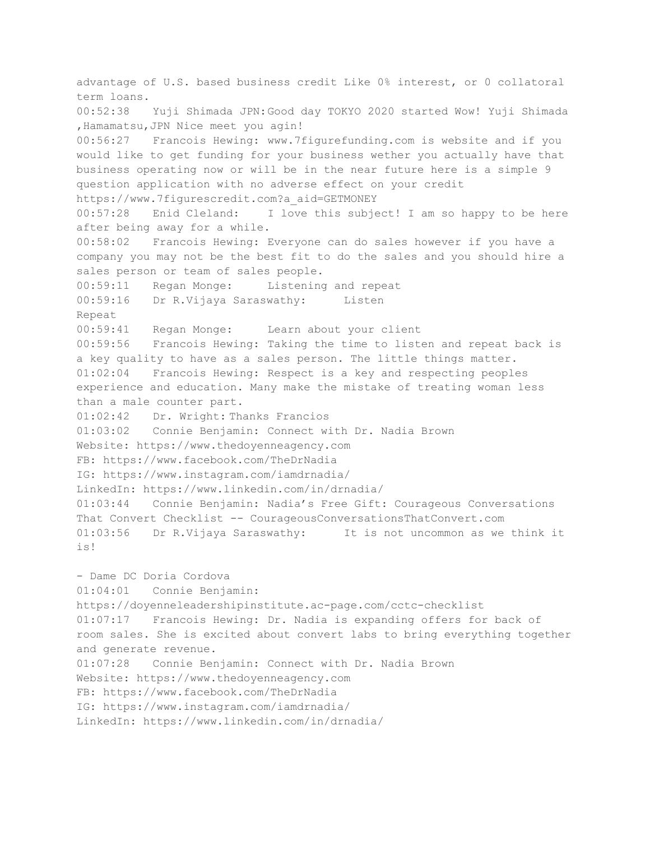advantage of U.S. based business credit Like 0% interest, or 0 collatoral term loans. 00:52:38 Yuji Shimada JPN:Good day TOKYO 2020 started Wow! Yuji Shimada ,Hamamatsu,JPN Nice meet you agin! 00:56:27 Francois Hewing: www.7figurefunding.com is website and if you would like to get funding for your business wether you actually have that business operating now or will be in the near future here is a simple 9 question application with no adverse effect on your credit https://www.7figurescredit.com?a\_aid=GETMONEY 00:57:28 Enid Cleland: I love this subject! I am so happy to be here after being away for a while. 00:58:02 Francois Hewing: Everyone can do sales however if you have a company you may not be the best fit to do the sales and you should hire a sales person or team of sales people. 00:59:11 Regan Monge: Listening and repeat 00:59:16 Dr R.Vijaya Saraswathy: Listen Repeat 00:59:41 Regan Monge: Learn about your client 00:59:56 Francois Hewing: Taking the time to listen and repeat back is a key quality to have as a sales person. The little things matter. 01:02:04 Francois Hewing: Respect is a key and respecting peoples experience and education. Many make the mistake of treating woman less than a male counter part. 01:02:42 Dr. Wright: Thanks Francios 01:03:02 Connie Benjamin: Connect with Dr. Nadia Brown Website: https://www.thedoyenneagency.com FB: https://www.facebook.com/TheDrNadia IG: https://www.instagram.com/iamdrnadia/ LinkedIn: https://www.linkedin.com/in/drnadia/ 01:03:44 Connie Benjamin: Nadia's Free Gift: Courageous Conversations That Convert Checklist -- CourageousConversationsThatConvert.com 01:03:56 Dr R.Vijaya Saraswathy: It is not uncommon as we think it is! - Dame DC Doria Cordova 01:04:01 Connie Benjamin: https://doyenneleadershipinstitute.ac-page.com/cctc-checklist 01:07:17 Francois Hewing: Dr. Nadia is expanding offers for back of room sales. She is excited about convert labs to bring everything together and generate revenue. 01:07:28 Connie Benjamin: Connect with Dr. Nadia Brown Website: https://www.thedoyenneagency.com FB: https://www.facebook.com/TheDrNadia IG: https://www.instagram.com/iamdrnadia/ LinkedIn: https://www.linkedin.com/in/drnadia/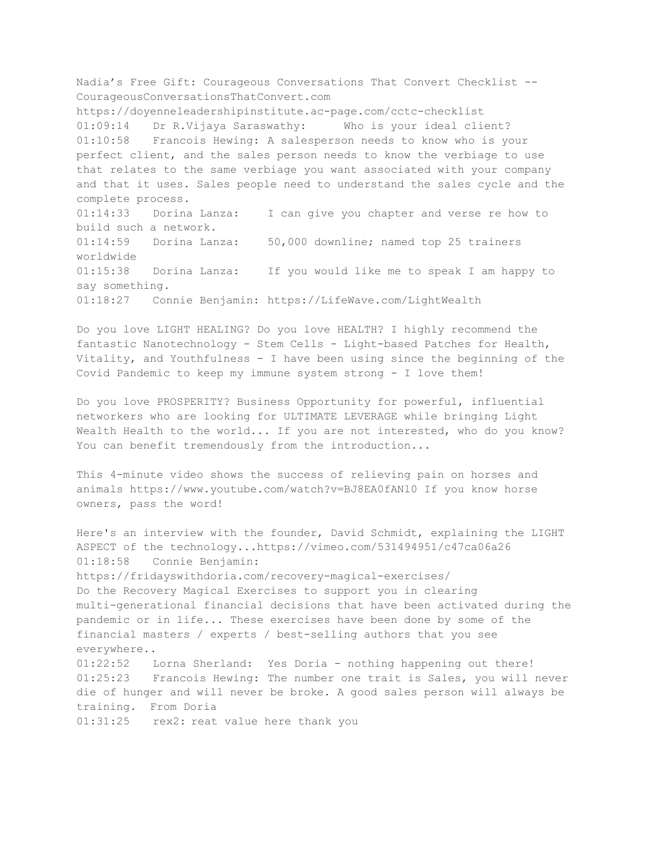Nadia's Free Gift: Courageous Conversations That Convert Checklist -- CourageousConversationsThatConvert.com https://doyenneleadershipinstitute.ac-page.com/cctc-checklist 01:09:14 Dr R.Vijaya Saraswathy: Who is your ideal client? 01:10:58 Francois Hewing: A salesperson needs to know who is your perfect client, and the sales person needs to know the verbiage to use that relates to the same verbiage you want associated with your company and that it uses. Sales people need to understand the sales cycle and the complete process. 01:14:33 Dorina Lanza: I can give you chapter and verse re how to build such a network. 01:14:59 Dorina Lanza: 50,000 downline; named top 25 trainers worldwide 01:15:38 Dorina Lanza: If you would like me to speak I am happy to say something. 01:18:27 Connie Benjamin: https://LifeWave.com/LightWealth

Do you love LIGHT HEALING? Do you love HEALTH? I highly recommend the fantastic Nanotechnology - Stem Cells - Light-based Patches for Health, Vitality, and Youthfulness - I have been using since the beginning of the Covid Pandemic to keep my immune system strong - I love them!

Do you love PROSPERITY? Business Opportunity for powerful, influential networkers who are looking for ULTIMATE LEVERAGE while bringing Light Wealth Health to the world... If you are not interested, who do you know? You can benefit tremendously from the introduction...

This 4-minute video shows the success of relieving pain on horses and animals https://www.youtube.com/watch?v=BJ8EA0fANl0 If you know horse owners, pass the word!

Here's an interview with the founder, David Schmidt, explaining the LIGHT ASPECT of the technology...https://vimeo.com/531494951/c47ca06a26 01:18:58 Connie Benjamin: https://fridayswithdoria.com/recovery-magical-exercises/ Do the Recovery Magical Exercises to support you in clearing multi-generational financial decisions that have been activated during the pandemic or in life... These exercises have been done by some of the financial masters / experts / best-selling authors that you see everywhere.. 01:22:52 Lorna Sherland: Yes Doria - nothing happening out there! 01:25:23 Francois Hewing: The number one trait is Sales, you will never die of hunger and will never be broke. A good sales person will always be training. From Doria 01:31:25 rex2: reat value here thank you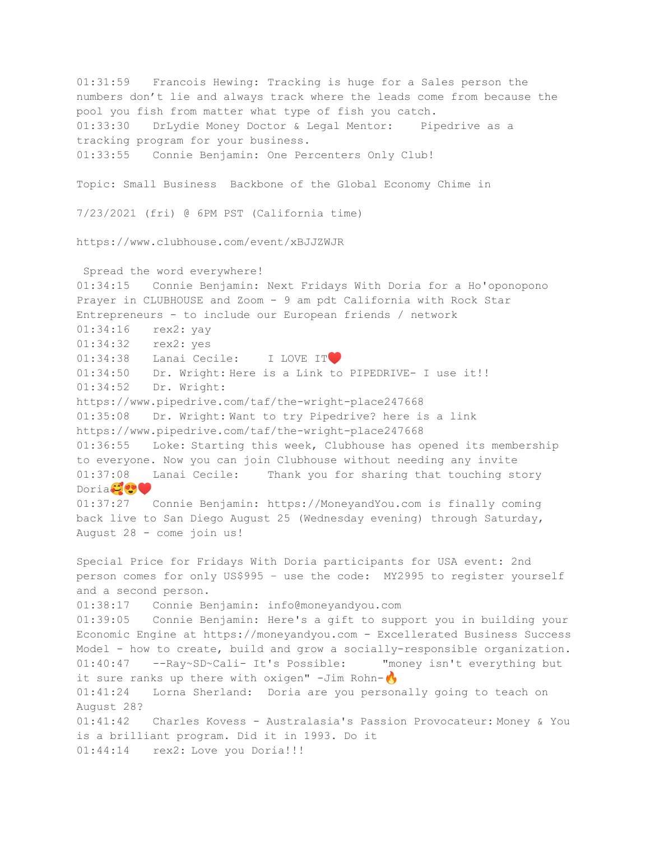01:31:59 Francois Hewing: Tracking is huge for a Sales person the numbers don't lie and always track where the leads come from because the pool you fish from matter what type of fish you catch. 01:33:30 DrLydie Money Doctor & Legal Mentor: Pipedrive as a tracking program for your business. 01:33:55 Connie Benjamin: One Percenters Only Club! Topic: Small Business Backbone of the Global Economy Chime in 7/23/2021 (fri) @ 6PM PST (California time) https://www.clubhouse.com/event/xBJJZWJR Spread the word everywhere! 01:34:15 Connie Benjamin: Next Fridays With Doria for a Ho'oponopono Prayer in CLUBHOUSE and Zoom - 9 am pdt California with Rock Star Entrepreneurs - to include our European friends / network 01:34:16 rex2: yay 01:34:32 rex2: yes 01:34:38 Lanai Cecile: I LOVE IT 01:34:50 Dr. Wright: Here is a Link to PIPEDRIVE- I use it!! 01:34:52 Dr. Wright: https://www.pipedrive.com/taf/the-wright-place247668 01:35:08 Dr. Wright: Want to try Pipedrive? here is a link https://www.pipedrive.com/taf/the-wright-place247668 01:36:55 Loke: Starting this week, Clubhouse has opened its membership to everyone. Now you can join Clubhouse without needing any invite 01:37:08 Lanai Cecile: Thank you for sharing that touching story Doria<sup>1</sup>99 01:37:27 Connie Benjamin: https://MoneyandYou.com is finally coming back live to San Diego August 25 (Wednesday evening) through Saturday, August 28 - come join us! Special Price for Fridays With Doria participants for USA event: 2nd person comes for only US\$995 – use the code: MY2995 to register yourself and a second person. 01:38:17 Connie Benjamin: info@moneyandyou.com 01:39:05 Connie Benjamin: Here's a gift to support you in building your Economic Engine at https://moneyandyou.com - Excellerated Business Success Model - how to create, build and grow a socially-responsible organization. 01:40:47 --Ray~SD~Cali- It's Possible: "money isn't everything but it sure ranks up there with oxigen"  $-Jim$  Rohn- $\bigwedge$ 01:41:24 Lorna Sherland: Doria are you personally going to teach on August 28? 01:41:42 Charles Kovess - Australasia's Passion Provocateur: Money & You is a brilliant program. Did it in 1993. Do it 01:44:14 rex2: Love you Doria!!!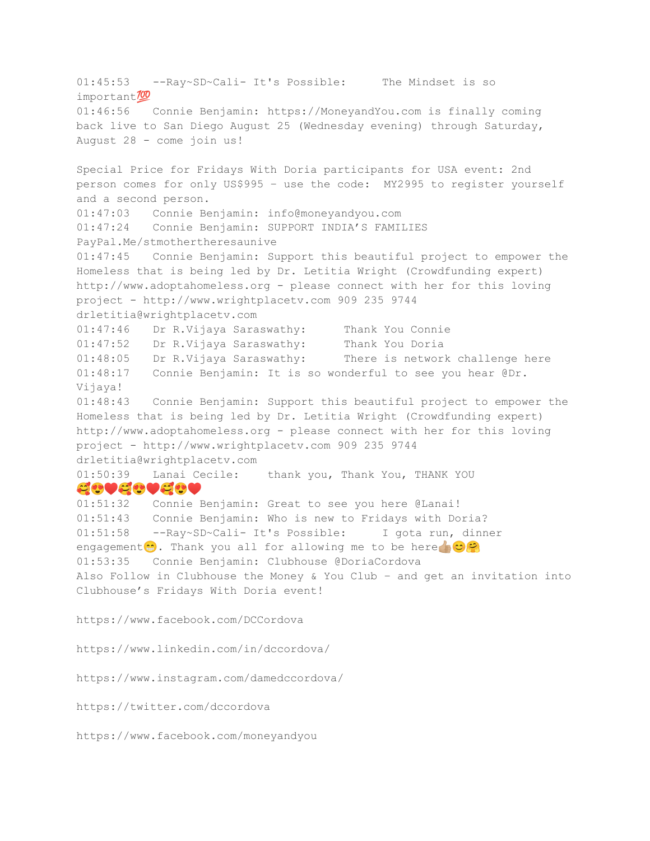01:45:53 --Ray~SD~Cali- It's Possible: The Mindset is so important<sup>700</sup> 01:46:56 Connie Benjamin: https://MoneyandYou.com is finally coming back live to San Diego August 25 (Wednesday evening) through Saturday, August 28 - come join us! Special Price for Fridays With Doria participants for USA event: 2nd person comes for only US\$995 – use the code: MY2995 to register yourself and a second person. 01:47:03 Connie Benjamin: info@moneyandyou.com 01:47:24 Connie Benjamin: SUPPORT INDIA'S FAMILIES PayPal.Me/stmothertheresaunive 01:47:45 Connie Benjamin: Support this beautiful project to empower the Homeless that is being led by Dr. Letitia Wright (Crowdfunding expert) http://www.adoptahomeless.org - please connect with her for this loving project - http://www.wrightplacetv.com 909 235 9744 drletitia@wrightplacetv.com 01:47:46 Dr R.Vijaya Saraswathy: Thank You Connie 01:47:52 Dr R.Vijaya Saraswathy: Thank You Doria 01:48:05 Dr R.Vijaya Saraswathy: There is network challenge here 01:48:17 Connie Benjamin: It is so wonderful to see you hear @Dr. Vijaya! 01:48:43 Connie Benjamin: Support this beautiful project to empower the Homeless that is being led by Dr. Letitia Wright (Crowdfunding expert) http://www.adoptahomeless.org - please connect with her for this loving project - http://www.wrightplacetv.com 909 235 9744 drletitia@wrightplacetv.com 01:50:39 Lanai Cecile: thank you, Thank You, THANK YOU ♥️♥️♥️ 01:51:32 Connie Benjamin: Great to see you here @Lanai! 01:51:43 Connie Benjamin: Who is new to Fridays with Doria? 01:51:58 --Ray~SD~Cali- It's Possible: I gota run, dinner engagement. Thank you all for allowing me to be here  $\circ$ 01:53:35 Connie Benjamin: Clubhouse @DoriaCordova Also Follow in Clubhouse the Money & You Club – and get an invitation into Clubhouse's Fridays With Doria event! https://www.facebook.com/DCCordova https://www.linkedin.com/in/dccordova/ https://www.instagram.com/damedccordova/ https://twitter.com/dccordova https://www.facebook.com/moneyandyou